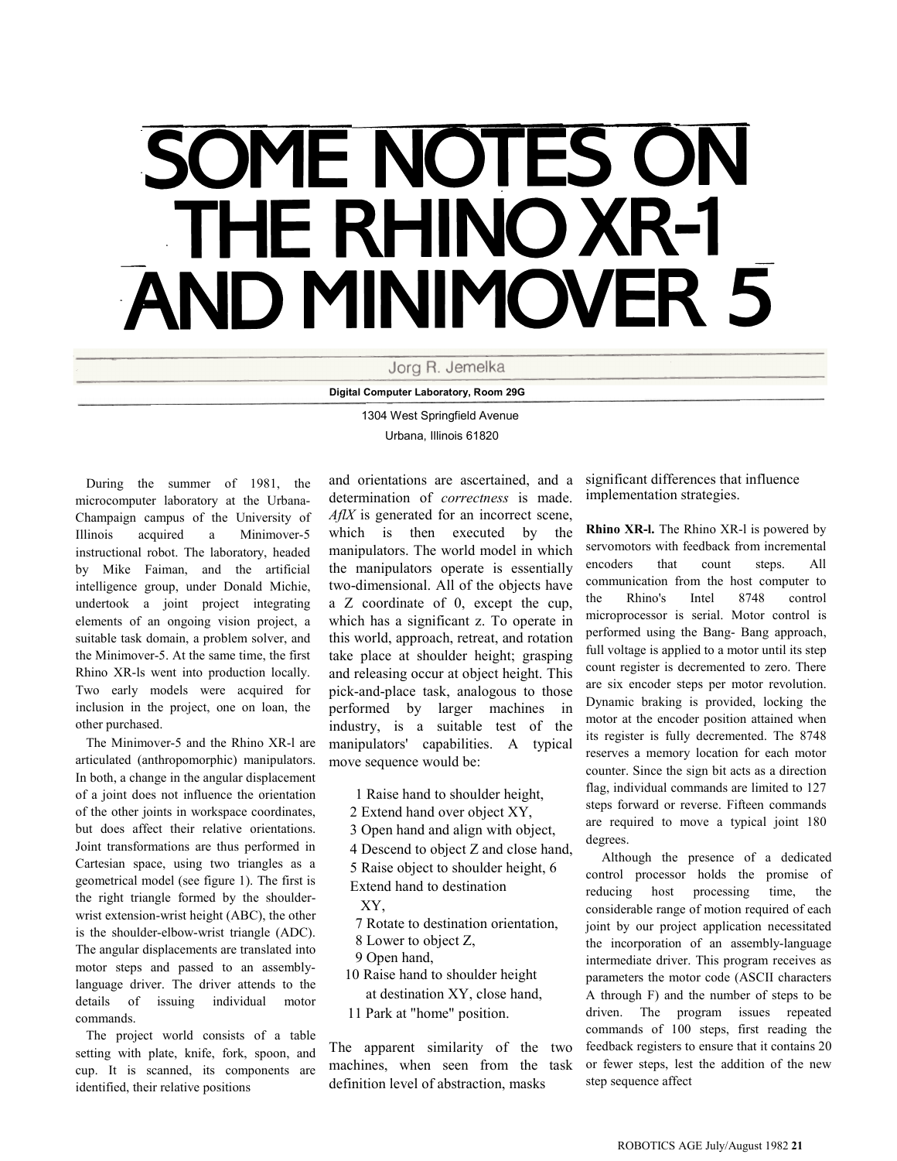# SOME NOTES ON **THE RHINO XR-1** AND MINIMOVER 5

Jorg R. Jemelka

Digital Computer Laboratory, Room 29G

1304 West Springfield Avenue Urbana, Illinois 61820

During the summer of 1981, the microcomputer laboratory at the Urbana-Champaign campus of the University of Illinois acquired a Minimover-5 instructional robot. The laboratory, headed by Mike Faiman, and the artificial intelligence group, under Donald Michie, undertook a joint project integrating elements of an ongoing vision project, a suitable task domain, a problem solver, and the Minimover-5. At the same time, the first Rhino XR-ls went into production locally. Two early models were acquired for inclusion in the project, one on loan, the other purchased.

The Minimover-5 and the Rhino XR-l are articulated (anthropomorphic) manipulators. In both, a change in the angular displacement of a joint does not influence the orientation of the other joints in workspace coordinates, but does affect their relative orientations. Joint transformations are thus performed in Cartesian space, using two triangles as a geometrical model (see figure 1). The first is the right triangle formed by the shoulderwrist extension-wrist height (ABC), the other is the shoulder-elbow-wrist triangle (ADC). The angular displacements are translated into motor steps and passed to an assemblylanguage driver. The driver attends to the details of issuing individual motor commands.

The project world consists of a table setting with plate, knife, fork, spoon, and cup. It is scanned, its components are identified, their relative positions

and orientations are ascertained, and a determination of correctness is made. AflX is generated for an incorrect scene, which is then executed by the manipulators. The world model in which the manipulators operate is essentially two-dimensional. All of the objects have a Z coordinate of 0, except the cup, which has a significant z. To operate in this world, approach, retreat, and rotation take place at shoulder height; grasping and releasing occur at object height. This pick-and-place task, analogous to those performed by larger machines in industry, is a suitable test of the manipulators' capabilities. A typical move sequence would be:

- 1 Raise hand to shoulder height,
- 2 Extend hand over object XY,
- 3 Open hand and align with object,
- 4 Descend to object Z and close hand,
- 5 Raise object to shoulder height, 6
- Extend hand to destination
- XY,
- 7 Rotate to destination orientation,
- 8 Lower to object Z,
- 9 Open hand,
- 10 Raise hand to shoulder height at destination XY, close hand,
- 11 Park at "home" position.

The apparent similarity of the two machines, when seen from the task definition level of abstraction, masks

significant differences that influence implementation strategies.

Rhino XR-l. The Rhino XR-l is powered by servomotors with feedback from incremental encoders that count steps. All communication from the host computer to the Rhino's Intel 8748 control microprocessor is serial. Motor control is performed using the Bang- Bang approach, full voltage is applied to a motor until its step count register is decremented to zero. There are six encoder steps per motor revolution. Dynamic braking is provided, locking the motor at the encoder position attained when its register is fully decremented. The 8748 reserves a memory location for each motor counter. Since the sign bit acts as a direction flag, individual commands are limited to 127 steps forward or reverse. Fifteen commands are required to move a typical joint 180 degrees.

Although the presence of a dedicated control processor holds the promise of reducing host processing time, the considerable range of motion required of each joint by our project application necessitated the incorporation of an assembly-language intermediate driver. This program receives as parameters the motor code (ASCII characters A through F) and the number of steps to be driven. The program issues repeated commands of 100 steps, first reading the feedback registers to ensure that it contains 20 or fewer steps, lest the addition of the new step sequence affect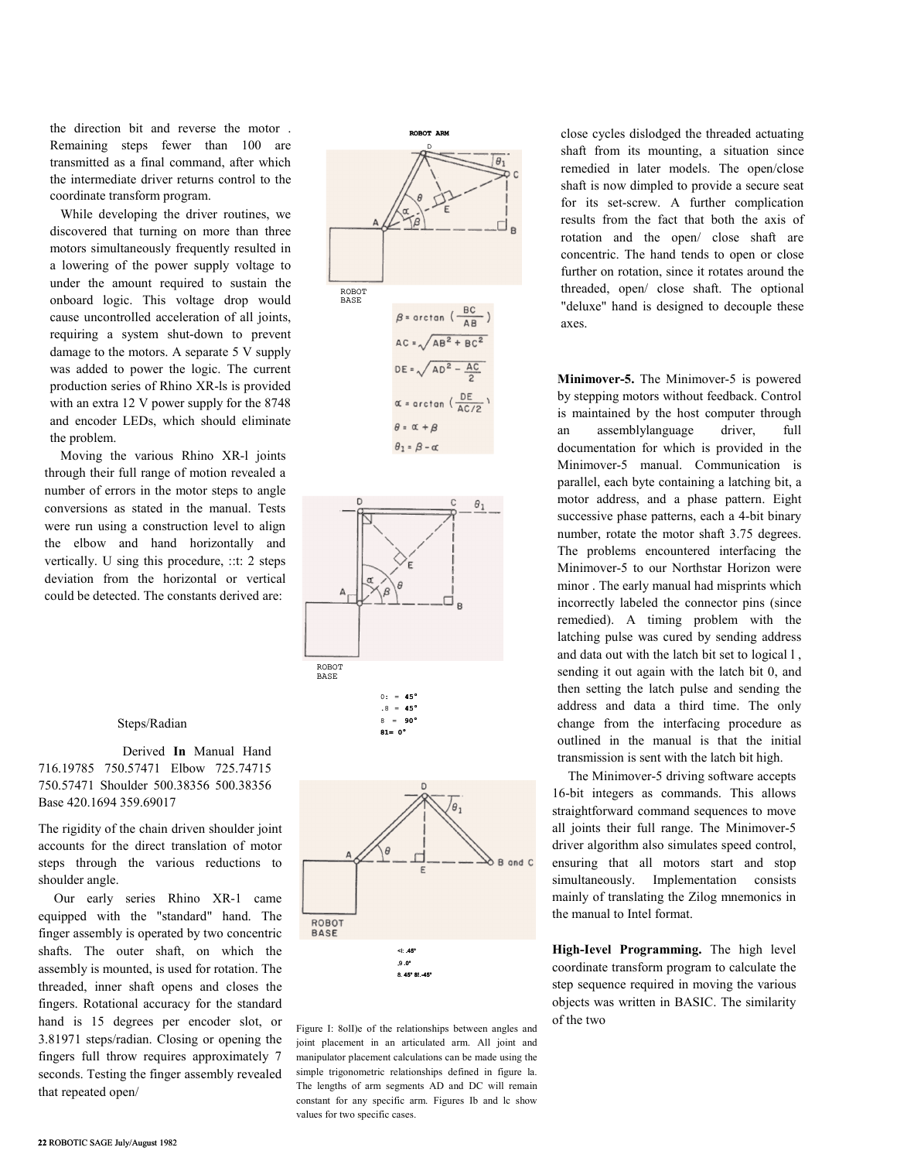the direction bit and reverse the motor . Remaining steps fewer than 100 are transmitted as a final command, after which the intermediate driver returns control to the coordinate transform program.

While developing the driver routines, we discovered that turning on more than three motors simultaneously frequently resulted in a lowering of the power supply voltage to under the amount required to sustain the onboard logic. This voltage drop would cause uncontrolled acceleration of all joints, requiring a system shut-down to prevent damage to the motors. A separate 5 V supply was added to power the logic. The current production series of Rhino XR-ls is provided with an extra 12 V power supply for the 8748 and encoder LEDs, which should eliminate the problem.

Moving the various Rhino XR-l joints through their full range of motion revealed a number of errors in the motor steps to angle conversions as stated in the manual. Tests were run using a construction level to align the elbow and hand horizontally and vertically. U sing this procedure, ::t: 2 steps deviation from the horizontal or vertical could be detected. The constants derived are:

#### Steps/Radian

Derived In Manual Hand 716.19785 750.57471 Elbow 725.74715 750.57471 Shoulder 500.38356 500.38356 Base 420.1694 359.69017

The rigidity of the chain driven shoulder joint accounts for the direct translation of motor steps through the various reductions to shoulder angle.

Our early series Rhino XR-1 came equipped with the "standard" hand. The finger assembly is operated by two concentric shafts. The outer shaft, on which the assembly is mounted, is used for rotation. The threaded, inner shaft opens and closes the fingers. Rotational accuracy for the standard hand is 15 degrees per encoder slot, or 3.81971 steps/radian. Closing or opening the fingers full throw requires approximately 7 seconds. Testing the finger assembly revealed that repeated open/





8 = 90°  $81=$ 



Figure I: 8olI)e of the relationships between angles and joint placement in an articulated arm. All joint and manipulator placement calculations can be made using the simple trigonometric relationships defined in figure la. The lengths of arm segments AD and DC will remain constant for any specific arm. Figures Ib and lc show values for two specific cases.

close cycles dislodged the threaded actuating shaft from its mounting, a situation since remedied in later models. The open/close shaft is now dimpled to provide a secure seat for its set-screw. A further complication results from the fact that both the axis of rotation and the open/ close shaft are concentric. The hand tends to open or close further on rotation, since it rotates around the threaded, open/ close shaft. The optional "deluxe" hand is designed to decouple these axes.

Minimover-5. The Minimover-5 is powered by stepping motors without feedback. Control is maintained by the host computer through an assemblylanguage driver, full documentation for which is provided in the Minimover-5 manual. Communication is parallel, each byte containing a latching bit, a motor address, and a phase pattern. Eight successive phase patterns, each a 4-bit binary number, rotate the motor shaft 3.75 degrees. The problems encountered interfacing the Minimover-5 to our Northstar Horizon were minor . The early manual had misprints which incorrectly labeled the connector pins (since remedied). A timing problem with the latching pulse was cured by sending address and data out with the latch bit set to logical l , sending it out again with the latch bit 0, and then setting the latch pulse and sending the address and data a third time. The only change from the interfacing procedure as outlined in the manual is that the initial transmission is sent with the latch bit high.

The Minimover-5 driving software accepts 16-bit integers as commands. This allows straightforward command sequences to move all joints their full range. The Minimover-5 driver algorithm also simulates speed control, ensuring that all motors start and stop simultaneously. Implementation consists mainly of translating the Zilog mnemonics in the manual to Intel format.

High-Ievel Programming. The high level coordinate transform program to calculate the step sequence required in moving the various objects was written in BASIC. The similarity of the two